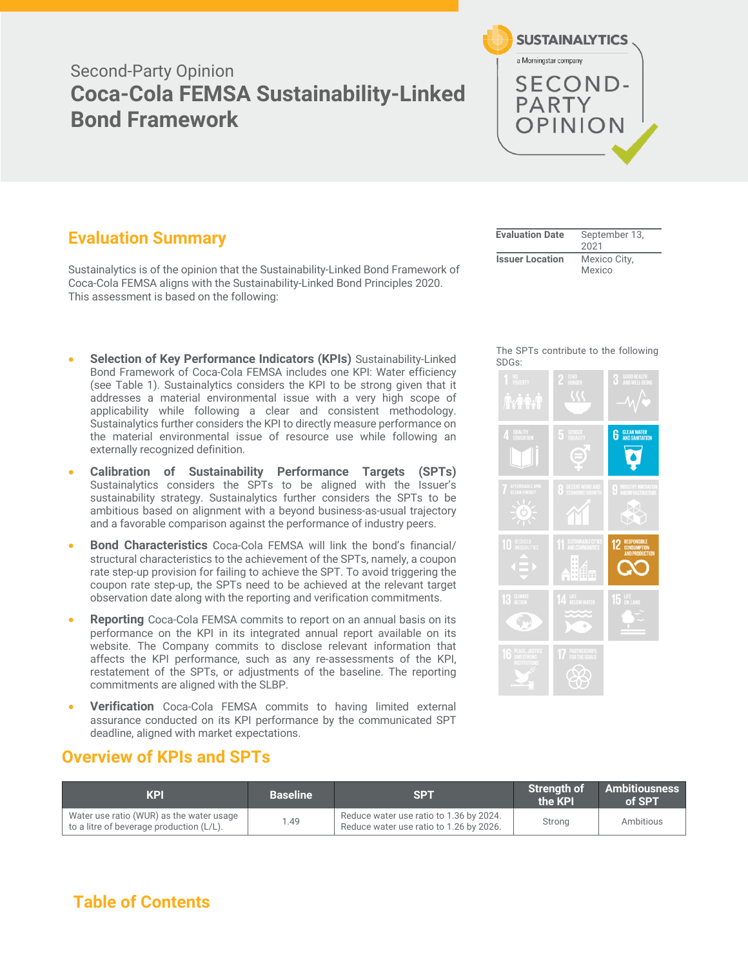# Second-Party Opinion **Coca-Cola FEMSA Sustainability-Linked Bond Framework**



# **Evaluation Summary**

Sustainalytics is of the opinion that the Sustainability-Linked Bond Framework of Coca-Cola FEMSA aligns with the Sustainability-Linked Bond Principles 2020. This assessment is based on the following:

- **Selection of Key Performance Indicators (KPIs)** Sustainability-Linked Bond Framework of Coca-Cola FEMSA includes one KPI: Water efficiency (see Table 1). Sustainalytics considers the KPI to be strong given that it addresses a material environmental issue with a very high scope of applicability while following a clear and consistent methodology. Sustainalytics further considers the KPI to directly measure performance on the material environmental issue of resource use while following an externally recognized definition.
- **Calibration of Sustainability Performance Targets (SPTs)** Sustainalytics considers the SPTs to be aligned with the Issuer's sustainability strategy. Sustainalytics further considers the SPTs to be ambitious based on alignment with a beyond business-as-usual trajectory and a favorable comparison against the performance of industry peers.
- **Bond Characteristics** Coca-Cola FEMSA will link the bond's financial/ structural characteristics to the achievement of the SPTs, namely, a coupon rate step-up provision for failing to achieve the SPT. To avoid triggering the coupon rate step-up, the SPTs need to be achieved at the relevant target observation date along with the reporting and verification commitments.
- **Reporting** Coca-Cola FEMSA commits to report on an annual basis on its performance on the KPI in its integrated annual report available on its website. The Company commits to disclose relevant information that affects the KPI performance, such as any re-assessments of the KPI, restatement of the SPTs, or adjustments of the baseline. The reporting commitments are aligned with the SLBP.
- **Verification** Coca-Cola FEMSA commits to having limited external assurance conducted on its KPI performance by the communicated SPT deadline, aligned with market expectations.

## **Overview of KPIs and SPTs**

| KPI                                                                                  | <b>Baseline</b> | SPT                                                                                | <b>Strenath of</b><br>the KPI | <b>Ambitiousness</b><br>of SPT |
|--------------------------------------------------------------------------------------|-----------------|------------------------------------------------------------------------------------|-------------------------------|--------------------------------|
| Water use ratio (WUR) as the water usage<br>to a litre of beverage production (L/L). | 1.49            | Reduce water use ratio to 1.36 by 2024.<br>Reduce water use ratio to 1.26 by 2026. | Strong                        | Ambitious                      |

| <b>Evaluation Date</b> | September 13,<br>2021  |
|------------------------|------------------------|
| <b>Issuer Location</b> | Mexico City,<br>Mexico |

#### The SPTs contribute to the following SDGs:



# **Table of Contents**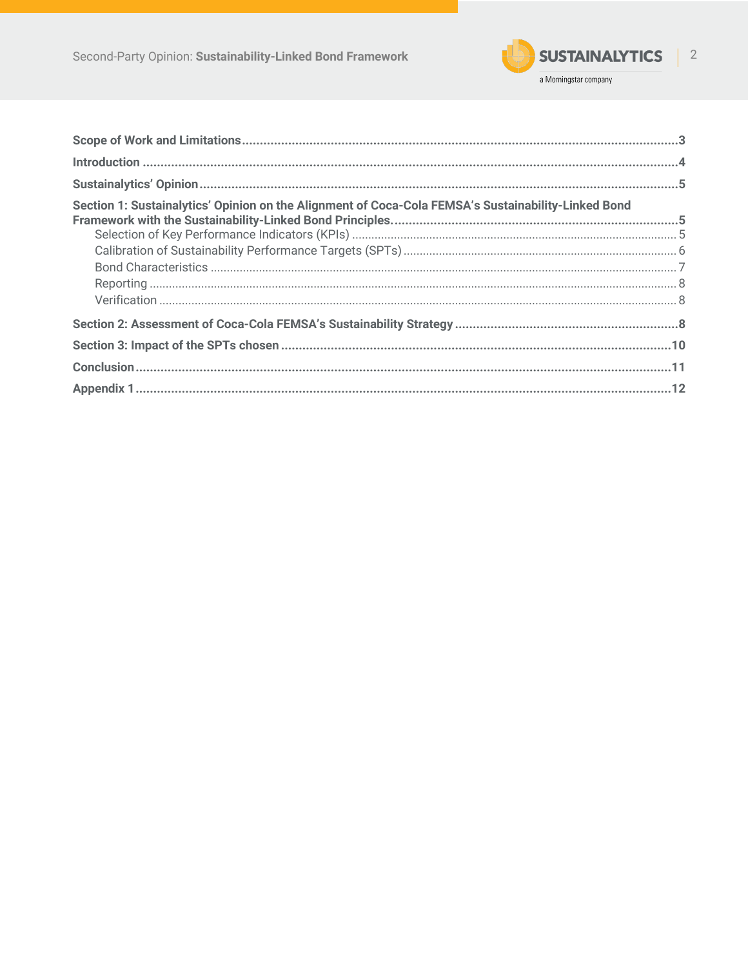

| Section 1: Sustainalytics' Opinion on the Alignment of Coca-Cola FEMSA's Sustainability-Linked Bond |  |
|-----------------------------------------------------------------------------------------------------|--|
|                                                                                                     |  |
|                                                                                                     |  |
|                                                                                                     |  |
|                                                                                                     |  |
|                                                                                                     |  |
|                                                                                                     |  |
|                                                                                                     |  |
|                                                                                                     |  |
|                                                                                                     |  |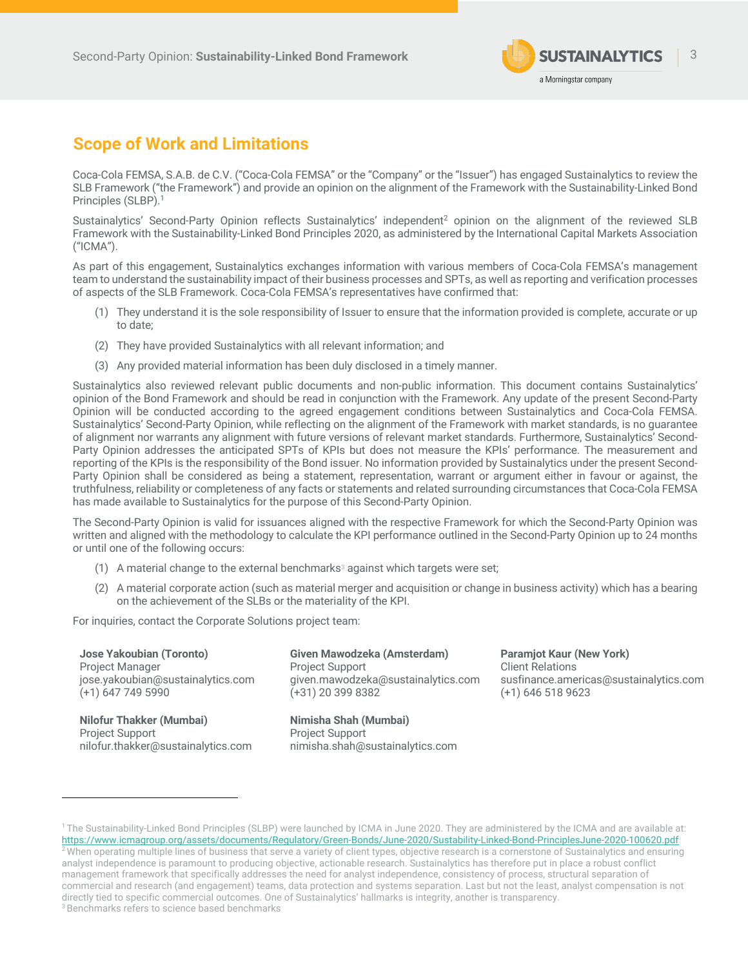

# **Scope of Work and Limitations**

Coca-Cola FEMSA, S.A.B. de C.V. ("Coca-Cola FEMSA" or the "Company" or the "Issuer") has engaged Sustainalytics to review the SLB Framework ("the Framework") and provide an opinion on the alignment of the Framework with the Sustainability-Linked Bond Principles (SLBP).1

Sustainalytics' Second-Party Opinion reflects Sustainalytics' independent<sup>2</sup> opinion on the alignment of the reviewed SLB Framework with the Sustainability-Linked Bond Principles 2020, as administered by the International Capital Markets Association ("ICMA").

As part of this engagement, Sustainalytics exchanges information with various members of Coca-Cola FEMSA's management team to understand the sustainability impact of their business processes and SPTs, as well as reporting and verification processes of aspects of the SLB Framework. Coca-Cola FEMSA's representatives have confirmed that:

- (1) They understand it is the sole responsibility of Issuer to ensure that the information provided is complete, accurate or up to date;
- (2) They have provided Sustainalytics with all relevant information; and
- (3) Any provided material information has been duly disclosed in a timely manner.

Sustainalytics also reviewed relevant public documents and non-public information. This document contains Sustainalytics' opinion of the Bond Framework and should be read in conjunction with the Framework. Any update of the present Second-Party Opinion will be conducted according to the agreed engagement conditions between Sustainalytics and Coca-Cola FEMSA. Sustainalytics' Second-Party Opinion, while reflecting on the alignment of the Framework with market standards, is no guarantee of alignment nor warrants any alignment with future versions of relevant market standards. Furthermore, Sustainalytics' Second-Party Opinion addresses the anticipated SPTs of KPIs but does not measure the KPIs' performance. The measurement and reporting of the KPIs is the responsibility of the Bond issuer. No information provided by Sustainalytics under the present Second-Party Opinion shall be considered as being a statement, representation, warrant or argument either in favour or against, the truthfulness, reliability or completeness of any facts or statements and related surrounding circumstances that Coca-Cola FEMSA has made available to Sustainalytics for the purpose of this Second-Party Opinion.

The Second-Party Opinion is valid for issuances aligned with the respective Framework for which the Second-Party Opinion was written and aligned with the methodology to calculate the KPI performance outlined in the Second-Party Opinion up to 24 months or until one of the following occurs:

- (1) A material change to the external benchmarks<sup>3</sup> against which targets were set;
- (2) A material corporate action (such as material merger and acquisition or change in business activity) which has a bearing on the achievement of the SLBs or the materiality of the KPI.

For inquiries, contact the Corporate Solutions project team:

**Jose Yakoubian (Toronto)** Project Manager jose.yakoubian@sustainalytics.com (+1) 647 749 5990

**Nilofur Thakker (Mumbai)** Project Support nilofur.thakker@sustainalytics.com **Given Mawodzeka (Amsterdam)** Project Support given.mawodzeka@sustainalytics.com (+31) 20 399 8382

**Nimisha Shah (Mumbai)** Project Support nimisha.shah@sustainalytics.com **Paramjot Kaur (New York)** Client Relations susfinance.americas@sustainalytics.com (+1) 646 518 9623

<sup>&</sup>lt;sup>1</sup> The Sustainability-Linked Bond Principles (SLBP) were launched by ICMA in June 2020. They are administered by the ICMA and are available at: https://www.icmagroup.org/assets/documents/Regulatory/Green-Bonds/June-2020/Sustability-Linked-Bond-PrinciplesJune-2020-100620.pdf  $2$  When operating multiple lines of business that serve a variety of client types, objective research is a cornerstone of Sustainalytics and ensuring analyst independence is paramount to producing objective, actionable research. Sustainalytics has therefore put in place a robust conflict management framework that specifically addresses the need for analyst independence, consistency of process, structural separation of commercial and research (and engagement) teams, data protection and systems separation. Last but not the least, analyst compensation is not directly tied to specific commercial outcomes. One of Sustainalytics' hallmarks is integrity, another is transparency. <sup>3</sup> Benchmarks refers to science based benchmarks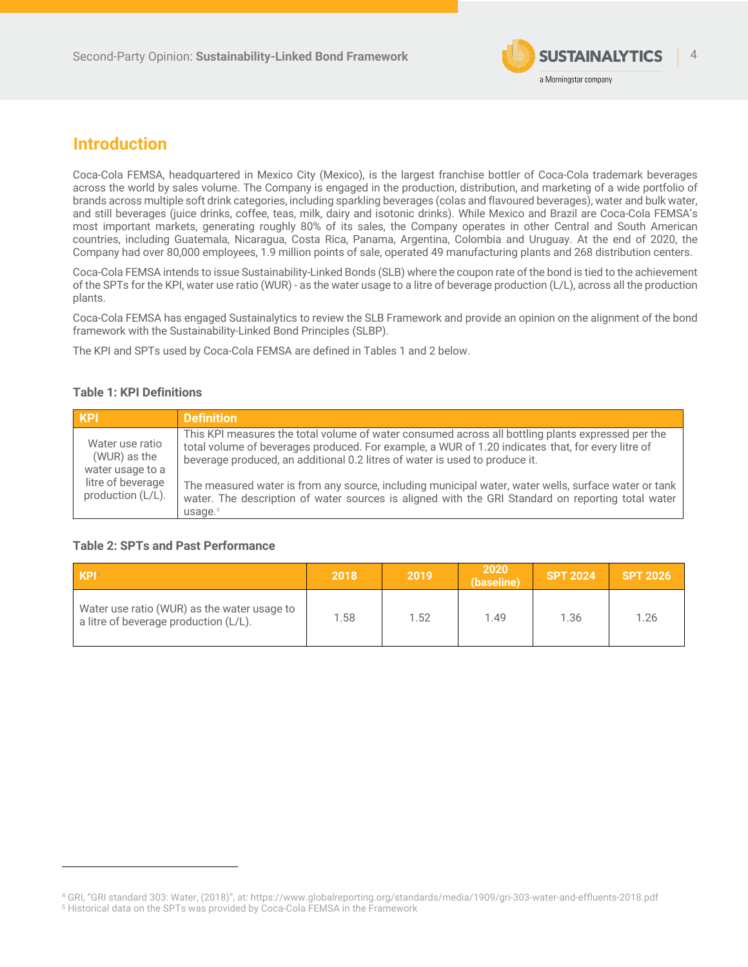

# **Introduction**

Coca-Cola FEMSA, headquartered in Mexico City (Mexico), is the largest franchise bottler of Coca-Cola trademark beverages across the world by sales volume. The Company is engaged in the production, distribution, and marketing of a wide portfolio of brands across multiple soft drink categories, including sparkling beverages (colas and flavoured beverages), water and bulk water, and still beverages (juice drinks, coffee, teas, milk, dairy and isotonic drinks). While Mexico and Brazil are Coca-Cola FEMSA's most important markets, generating roughly 80% of its sales, the Company operates in other Central and South American countries, including Guatemala, Nicaragua, Costa Rica, Panama, Argentina, Colombia and Uruguay. At the end of 2020, the Company had over 80,000 employees, 1.9 million points of sale, operated 49 manufacturing plants and 268 distribution centers.

Coca-Cola FEMSA intends to issue Sustainability-Linked Bonds (SLB) where the coupon rate of the bond is tied to the achievement of the SPTs for the KPI, water use ratio (WUR) - as the water usage to a litre of beverage production (L/L), across all the production plants.

Coca-Cola FEMSA has engaged Sustainalytics to review the SLB Framework and provide an opinion on the alignment of the bond framework with the Sustainability-Linked Bond Principles (SLBP).

The KPI and SPTs used by Coca-Cola FEMSA are defined in Tables 1 and 2 below.

### **Table 1: KPI Definitions**

| KPI                                                 | <b>Definition</b>                                                                                                                                                                                                                                                                     |
|-----------------------------------------------------|---------------------------------------------------------------------------------------------------------------------------------------------------------------------------------------------------------------------------------------------------------------------------------------|
| Water use ratio<br>(WUR) as the<br>water usage to a | This KPI measures the total volume of water consumed across all bottling plants expressed per the<br>total volume of beverages produced. For example, a WUR of 1.20 indicates that, for every litre of<br>beverage produced, an additional 0.2 litres of water is used to produce it. |
| litre of beverage<br>production (L/L).              | The measured water is from any source, including municipal water, water wells, surface water or tank<br>water. The description of water sources is aligned with the GRI Standard on reporting total water<br>usage. <sup>4</sup>                                                      |

### **Table 2: SPTs and Past Performance**

| KP <sub>I5</sub>                                                                     | 2018 | 2019 | 2020<br>(baseline) | <b>SPT 2024</b> | <b>SPT 2026</b> |
|--------------------------------------------------------------------------------------|------|------|--------------------|-----------------|-----------------|
| Water use ratio (WUR) as the water usage to<br>a litre of beverage production (L/L). | 1.58 | 1.52 | 1.49               | 1.36            | 1.26            |

<sup>4</sup> GRI, "GRI standard 303: Water, (2018)", at: https://www.globalreporting.org/standards/media/1909/gri-303-water-and-effluents-2018.pdf <sup>5</sup> Historical data on the SPTs was provided by Coca-Cola FEMSA in the Framework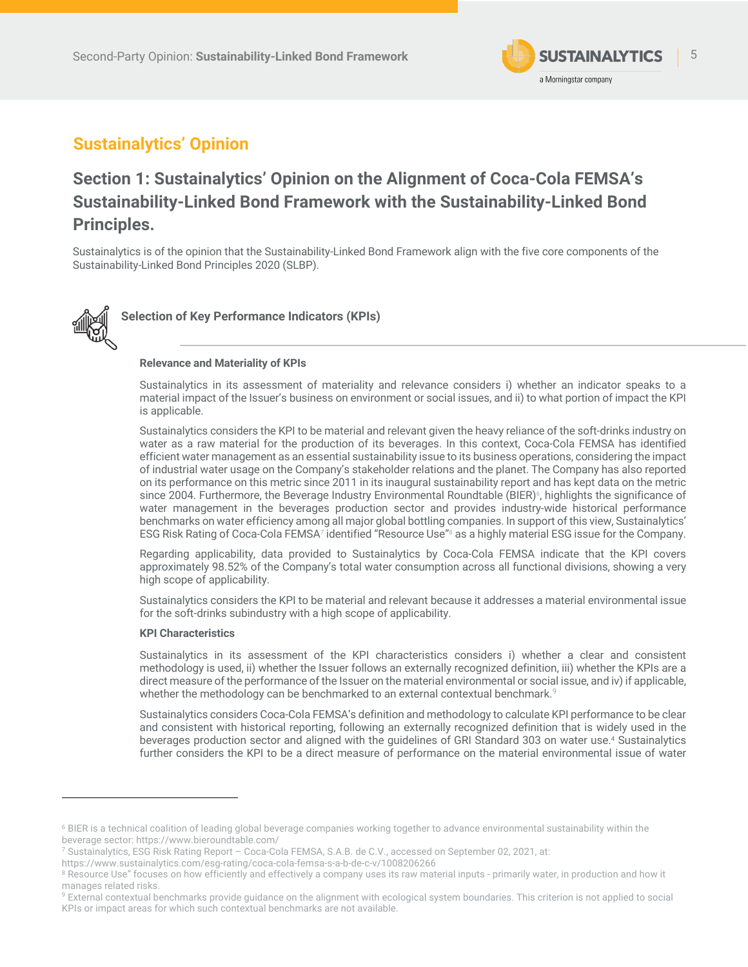

# **Sustainalytics' Opinion**

# **Section 1: Sustainalytics' Opinion on the Alignment of Coca-Cola FEMSA's Sustainability-Linked Bond Framework with the Sustainability-Linked Bond Principles.**

Sustainalytics is of the opinion that the Sustainability-Linked Bond Framework align with the five core components of the Sustainability-Linked Bond Principles 2020 (SLBP).



**Selection of Key Performance Indicators (KPIs)**

#### **Relevance and Materiality of KPIs**

Sustainalytics in its assessment of materiality and relevance considers i) whether an indicator speaks to a material impact of the Issuer's business on environment or social issues, and ii) to what portion of impact the KPI is applicable.

Sustainalytics considers the KPI to be material and relevant given the heavy reliance of the soft-drinks industry on water as a raw material for the production of its beverages. In this context, Coca-Cola FEMSA has identified efficient water management as an essential sustainability issue to its business operations, considering the impact of industrial water usage on the Company's stakeholder relations and the planet. The Company has also reported on its performance on this metric since 2011 in its inaugural sustainability report and has kept data on the metric since 2004. Furthermore, the Beverage Industry Environmental Roundtable (BIER)<sup>6</sup>, highlights the significance of water management in the beverages production sector and provides industry-wide historical performance benchmarks on water efficiency among all major global bottling companies. In support of this view, Sustainalytics' ESG Risk Rating of Coca-Cola FEMSA7 identified "Resource Use"8 as a highly material ESG issue for the Company.

Regarding applicability, data provided to Sustainalytics by Coca-Cola FEMSA indicate that the KPI covers approximately 98.52% of the Company's total water consumption across all functional divisions, showing a very high scope of applicability.

Sustainalytics considers the KPI to be material and relevant because it addresses a material environmental issue for the soft-drinks subindustry with a high scope of applicability.

#### **KPI Characteristics**

Sustainalytics in its assessment of the KPI characteristics considers i) whether a clear and consistent methodology is used, ii) whether the Issuer follows an externally recognized definition, iii) whether the KPIs are a direct measure of the performance of the Issuer on the material environmental or social issue, and iv) if applicable, whether the methodology can be benchmarked to an external contextual benchmark. $^9$ 

Sustainalytics considers Coca-Cola FEMSA's definition and methodology to calculate KPI performance to be clear and consistent with historical reporting, following an externally recognized definition that is widely used in the beverages production sector and aligned with the guidelines of GRI Standard 303 on water use. <sup>4</sup> Sustainalytics further considers the KPI to be a direct measure of performance on the material environmental issue of water

<sup>&</sup>lt;sup>6</sup> BIER is a technical coalition of leading global beverage companies working together to advance environmental sustainability within the beverage sector: https://www.bieroundtable.com/

<sup>7</sup> Sustainalytics, ESG Risk Rating Report – Coca-Cola FEMSA, S.A.B. de C.V., accessed on September 02, 2021, at:

https://www.sustainalytics.com/esg-rating/coca-cola-femsa-s-a-b-de-c-v/1008206266

<sup>8</sup> Resource Use" focuses on how efficiently and effectively a company uses its raw material inputs - primarily water, in production and how it manages related risks.

<sup>&</sup>lt;sup>9</sup> External contextual benchmarks provide guidance on the alignment with ecological system boundaries. This criterion is not applied to social KPIs or impact areas for which such contextual benchmarks are not available.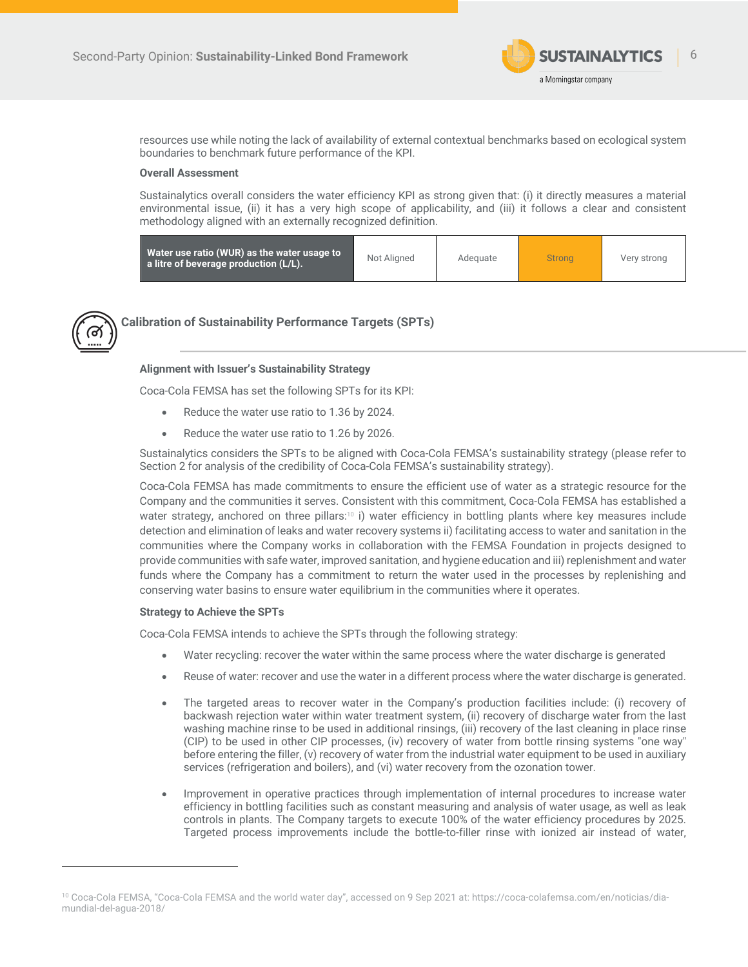

resources use while noting the lack of availability of external contextual benchmarks based on ecological system boundaries to benchmark future performance of the KPI.

#### **Overall Assessment**

Sustainalytics overall considers the water efficiency KPI as strong given that: (i) it directly measures a material environmental issue, (ii) it has a very high scope of applicability, and (iii) it follows a clear and consistent methodology aligned with an externally recognized definition.

| Water use ratio (WUR) as the water usage to<br>a litre of beverage production (L/L). | Not Aligned | Adequate | <b>Strong</b> | Very strong |
|--------------------------------------------------------------------------------------|-------------|----------|---------------|-------------|
|--------------------------------------------------------------------------------------|-------------|----------|---------------|-------------|



### **Calibration of Sustainability Performance Targets (SPTs)**

#### **Alignment with Issuer's Sustainability Strategy**

Coca-Cola FEMSA has set the following SPTs for its KPI:

- Reduce the water use ratio to 1.36 by 2024.
- Reduce the water use ratio to 1.26 by 2026.

Sustainalytics considers the SPTs to be aligned with Coca-Cola FEMSA's sustainability strategy (please refer to Section 2 for analysis of the credibility of Coca-Cola FEMSA's sustainability strategy).

Coca-Cola FEMSA has made commitments to ensure the efficient use of water as a strategic resource for the Company and the communities it serves. Consistent with this commitment, Coca-Cola FEMSA has established a water strategy, anchored on three pillars:10 i) water efficiency in bottling plants where key measures include detection and elimination of leaks and water recovery systems ii) facilitating access to water and sanitation in the communities where the Company works in collaboration with the FEMSA Foundation in projects designed to provide communities with safe water, improved sanitation, and hygiene education and iii) replenishment and water funds where the Company has a commitment to return the water used in the processes by replenishing and conserving water basins to ensure water equilibrium in the communities where it operates.

#### **Strategy to Achieve the SPTs**

Coca-Cola FEMSA intends to achieve the SPTs through the following strategy:

- Water recycling: recover the water within the same process where the water discharge is generated
- Reuse of water: recover and use the water in a different process where the water discharge is generated.
- The targeted areas to recover water in the Company's production facilities include: (i) recovery of backwash rejection water within water treatment system, (ii) recovery of discharge water from the last washing machine rinse to be used in additional rinsings, (iii) recovery of the last cleaning in place rinse (CIP) to be used in other CIP processes, (iv) recovery of water from bottle rinsing systems "one way" before entering the filler, (v) recovery of water from the industrial water equipment to be used in auxiliary services (refrigeration and boilers), and (vi) water recovery from the ozonation tower.
- Improvement in operative practices through implementation of internal procedures to increase water efficiency in bottling facilities such as constant measuring and analysis of water usage, as well as leak controls in plants. The Company targets to execute 100% of the water efficiency procedures by 2025. Targeted process improvements include the bottle-to-filler rinse with ionized air instead of water,

<sup>10</sup> Coca-Cola FEMSA, "Coca-Cola FEMSA and the world water day", accessed on 9 Sep 2021 at: https://coca-colafemsa.com/en/noticias/diamundial-del-agua-2018/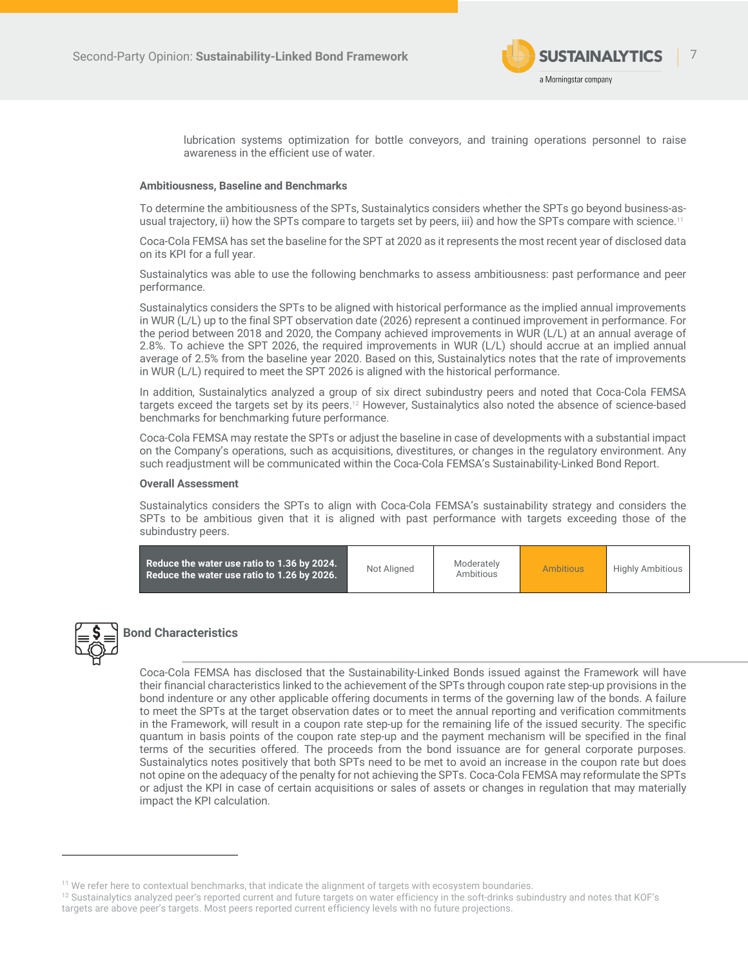

lubrication systems optimization for bottle conveyors, and training operations personnel to raise awareness in the efficient use of water.

#### **Ambitiousness, Baseline and Benchmarks**

To determine the ambitiousness of the SPTs, Sustainalytics considers whether the SPTs go beyond business-asusual trajectory, ii) how the SPTs compare to targets set by peers, iii) and how the SPTs compare with science.<sup>11</sup>

Coca-Cola FEMSA has set the baseline for the SPT at 2020 as it represents the most recent year of disclosed data on its KPI for a full year.

Sustainalytics was able to use the following benchmarks to assess ambitiousness: past performance and peer performance.

Sustainalytics considers the SPTs to be aligned with historical performance as the implied annual improvements in WUR (L/L) up to the final SPT observation date (2026) represent a continued improvement in performance. For the period between 2018 and 2020, the Company achieved improvements in WUR (L/L) at an annual average of 2.8%. To achieve the SPT 2026, the required improvements in WUR (L/L) should accrue at an implied annual average of 2.5% from the baseline year 2020. Based on this, Sustainalytics notes that the rate of improvements in WUR (L/L) required to meet the SPT 2026 is aligned with the historical performance.

In addition, Sustainalytics analyzed a group of six direct subindustry peers and noted that Coca-Cola FEMSA targets exceed the targets set by its peers.<sup>12</sup> However, Sustainalytics also noted the absence of science-based benchmarks for benchmarking future performance.

Coca-Cola FEMSA may restate the SPTs or adjust the baseline in case of developments with a substantial impact on the Company's operations, such as acquisitions, divestitures, or changes in the regulatory environment. Any such readjustment will be communicated within the Coca-Cola FEMSA's Sustainability-Linked Bond Report.

#### **Overall Assessment**

Sustainalytics considers the SPTs to align with Coca-Cola FEMSA's sustainability strategy and considers the SPTs to be ambitious given that it is aligned with past performance with targets exceeding those of the subindustry peers.

| Reduce the water use ratio to 1.36 by 2024.<br>Reduce the water use ratio to 1.26 by 2026. | Not Aligned | Moderately<br>Ambitious | <b>Ambitious</b> | <b>Highly Ambitious</b> |
|--------------------------------------------------------------------------------------------|-------------|-------------------------|------------------|-------------------------|
|                                                                                            |             |                         |                  |                         |



## **Bond Characteristics**

Coca-Cola FEMSA has disclosed that the Sustainability-Linked Bonds issued against the Framework will have their financial characteristics linked to the achievement of the SPTs through coupon rate step-up provisions in the bond indenture or any other applicable offering documents in terms of the governing law of the bonds. A failure to meet the SPTs at the target observation dates or to meet the annual reporting and verification commitments in the Framework, will result in a coupon rate step-up for the remaining life of the issued security. The specific quantum in basis points of the coupon rate step-up and the payment mechanism will be specified in the final terms of the securities offered. The proceeds from the bond issuance are for general corporate purposes. Sustainalytics notes positively that both SPTs need to be met to avoid an increase in the coupon rate but does not opine on the adequacy of the penalty for not achieving the SPTs. Coca-Cola FEMSA may reformulate the SPTs or adjust the KPI in case of certain acquisitions or sales of assets or changes in regulation that may materially impact the KPI calculation.

 $^{11}$  We refer here to contextual benchmarks, that indicate the alignment of targets with ecosystem boundaries.<br> $^{12}$  Sustainalytics analyzed peer's reported current and future targets on water efficiency in the soft-dr targets are above peer's targets. Most peers reported current efficiency levels with no future projections.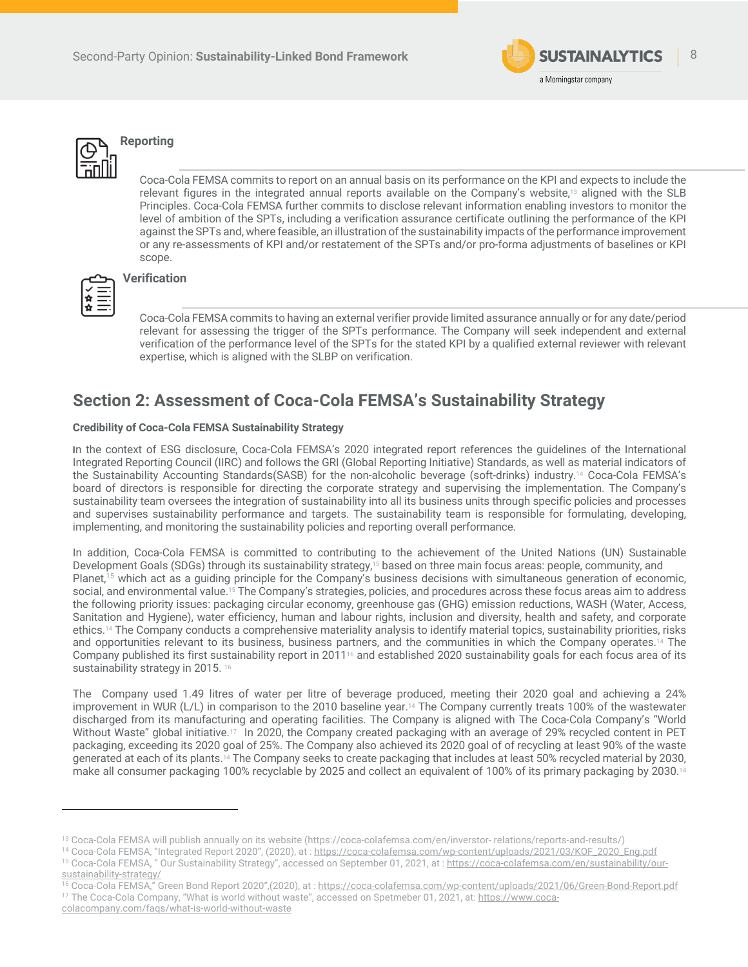



# **Reporting**

Coca-Cola FEMSA commits to report on an annual basis on its performance on the KPI and expects to include the relevant figures in the integrated annual reports available on the Company's website,<sup>13</sup> aligned with the SLB Principles. Coca-Cola FEMSA further commits to disclose relevant information enabling investors to monitor the level of ambition of the SPTs, including a verification assurance certificate outlining the performance of the KPI against the SPTs and, where feasible, an illustration of the sustainability impacts of the performance improvement or any re-assessments of KPI and/or restatement of the SPTs and/or pro-forma adjustments of baselines or KPI scope.



### **Verification**

Coca-Cola FEMSA commits to having an external verifier provide limited assurance annually or for any date/period relevant for assessing the trigger of the SPTs performance. The Company will seek independent and external verification of the performance level of the SPTs for the stated KPI by a qualified external reviewer with relevant expertise, which is aligned with the SLBP on verification.

## **Section 2: Assessment of Coca-Cola FEMSA's Sustainability Strategy**

### **Credibility of Coca-Cola FEMSA Sustainability Strategy**

In the context of ESG disclosure, Coca-Cola FEMSA's 2020 integrated report references the guidelines of the International Integrated Reporting Council (IIRC) and follows the GRI (Global Reporting Initiative) Standards, as well as material indicators of the Sustainability Accounting Standards(SASB) for the non-alcoholic beverage (soft-drinks) industry.14 Coca-Cola FEMSA's board of directors is responsible for directing the corporate strategy and supervising the implementation. The Company's sustainability team oversees the integration of sustainability into all its business units through specific policies and processes and supervises sustainability performance and targets. The sustainability team is responsible for formulating, developing, implementing, and monitoring the sustainability policies and reporting overall performance.

In addition, Coca-Cola FEMSA is committed to contributing to the achievement of the United Nations (UN) Sustainable Development Goals (SDGs) through its sustainability strategy, <sup>15</sup> based on three main focus areas: people, community, and Planet,<sup>15</sup> which act as a guiding principle for the Company's business decisions with simultaneous generation of economic, social, and environmental value. <sup>15</sup> The Company's strategies, policies, and procedures across these focus areas aim to address the following priority issues: packaging circular economy, greenhouse gas (GHG) emission reductions, WASH (Water, Access, Sanitation and Hygiene), water efficiency, human and labour rights, inclusion and diversity, health and safety, and corporate ethics. <sup>14</sup> The Company conducts a comprehensive materiality analysis to identify material topics, sustainability priorities, risks and opportunities relevant to its business, business partners, and the communities in which the Company operates.<sup>14</sup> The Company published its first sustainability report in 2011<sup>16</sup> and established 2020 sustainability goals for each focus area of its sustainability strategy in 2015. 16

The Company used 1.49 litres of water per litre of beverage produced, meeting their 2020 goal and achieving a 24% improvement in WUR (L/L) in comparison to the 2010 baseline year. <sup>14</sup> The Company currently treats 100% of the wastewater discharged from its manufacturing and operating facilities. The Company is aligned with The Coca-Cola Company's "World Without Waste" global initiative.<sup>17</sup> In 2020, the Company created packaging with an average of 29% recycled content in PET packaging, exceeding its 2020 goal of 25%. The Company also achieved its 2020 goal of of recycling at least 90% of the waste generated at each of its plants. <sup>14</sup> The Company seeks to create packaging that includes at least 50% recycled material by 2030, make all consumer packaging 100% recyclable by 2025 and collect an equivalent of 100% of its primary packaging by 2030.14

<sup>13</sup> Coca-Cola FEMSA will publish annually on its website (https://coca-colafemsa.com/en/inverstor- relations/reports-and-results/)

<sup>&</sup>lt;sup>14</sup> Coca-Cola FEMSA, "Integrated Report 2020", (2020), at : https://coca-colafemsa.com/wp-content/uploads/2021/03/KOF\_2020\_Eng.pdf <sup>15</sup> Coca-Cola FEMSA, " Our Sustainability Strategy", accessed on September 01, 2021, at : https://coca-colafemsa.com/en/sustainability/our-

sustainability-strategy/ 16 Coca-Cola FEMSA," Green Bond Report 2020",(2020), at : https://coca-colafemsa.com/wp-content/uploads/2021/06/Green-Bond-Report.pdf

<sup>&</sup>lt;sup>17</sup> The Coca-Cola Company, "What is world without waste", accessed on Spetmeber 01, 2021, at: https://www.coca-

colacompany.com/faqs/what-is-world-without-waste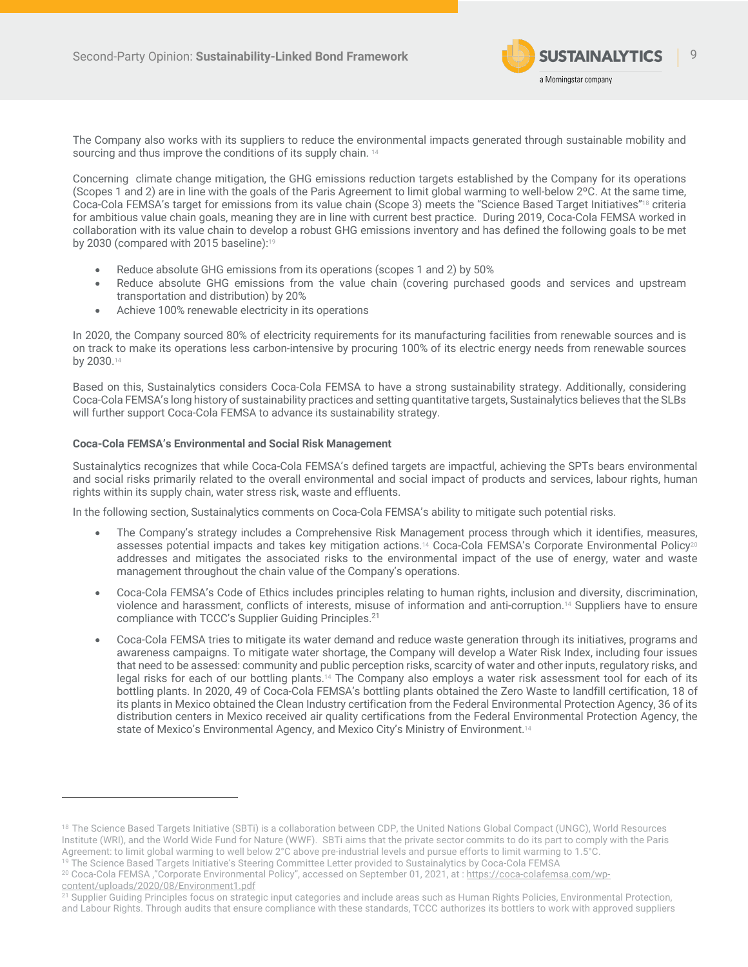

The Company also works with its suppliers to reduce the environmental impacts generated through sustainable mobility and sourcing and thus improve the conditions of its supply chain. 14

Concerning climate change mitigation, the GHG emissions reduction targets established by the Company for its operations (Scopes 1 and 2) are in line with the goals of the Paris Agreement to limit global warming to well-below 2ºC. At the same time, Coca-Cola FEMSA's target for emissions from its value chain (Scope 3) meets the "Science Based Target Initiatives"18 criteria for ambitious value chain goals, meaning they are in line with current best practice. During 2019, Coca-Cola FEMSA worked in collaboration with its value chain to develop a robust GHG emissions inventory and has defined the following goals to be met by 2030 (compared with 2015 baseline): 19

- Reduce absolute GHG emissions from its operations (scopes 1 and 2) by 50%
- Reduce absolute GHG emissions from the value chain (covering purchased goods and services and upstream transportation and distribution) by 20%
- Achieve 100% renewable electricity in its operations

In 2020, the Company sourced 80% of electricity requirements for its manufacturing facilities from renewable sources and is on track to make its operations less carbon-intensive by procuring 100% of its electric energy needs from renewable sources by 2030. 14

Based on this, Sustainalytics considers Coca-Cola FEMSA to have a strong sustainability strategy. Additionally, considering Coca-Cola FEMSA's long history of sustainability practices and setting quantitative targets, Sustainalytics believes that the SLBs will further support Coca-Cola FEMSA to advance its sustainability strategy.

### **Coca-Cola FEMSA's Environmental and Social Risk Management**

Sustainalytics recognizes that while Coca-Cola FEMSA's defined targets are impactful, achieving the SPTs bears environmental and social risks primarily related to the overall environmental and social impact of products and services, labour rights, human rights within its supply chain, water stress risk, waste and effluents.

In the following section, Sustainalytics comments on Coca-Cola FEMSA's ability to mitigate such potential risks.

- The Company's strategy includes a Comprehensive Risk Management process through which it identifies, measures, assesses potential impacts and takes key mitigation actions.14 Coca-Cola FEMSA's Corporate Environmental Policy20 addresses and mitigates the associated risks to the environmental impact of the use of energy, water and waste management throughout the chain value of the Company's operations.
- Coca-Cola FEMSA's Code of Ethics includes principles relating to human rights, inclusion and diversity, discrimination, violence and harassment, conflicts of interests, misuse of information and anti-corruption.14 Suppliers have to ensure compliance with TCCC's Supplier Guiding Principles.21
- Coca-Cola FEMSA tries to mitigate its water demand and reduce waste generation through its initiatives, programs and awareness campaigns. To mitigate water shortage, the Company will develop a Water Risk Index, including four issues that need to be assessed: community and public perception risks, scarcity of water and other inputs, regulatory risks, and legal risks for each of our bottling plants.14 The Company also employs a water risk assessment tool for each of its bottling plants. In 2020, 49 of Coca-Cola FEMSA's bottling plants obtained the Zero Waste to landfill certification, 18 of its plants in Mexico obtained the Clean Industry certification from the Federal Environmental Protection Agency, 36 of its distribution centers in Mexico received air quality certifications from the Federal Environmental Protection Agency, the state of Mexico's Environmental Agency, and Mexico City's Ministry of Environment.<sup>14</sup>

<sup>&</sup>lt;sup>18</sup> The Science Based Targets Initiative (SBTi) is a collaboration between CDP, the United Nations Global Compact (UNGC), World Resources Institute (WRI), and the World Wide Fund for Nature (WWF). SBTi aims that the private sector commits to do its part to comply with the Paris Agreement: to limit global warming to well below 2°C above pre-industrial levels and pursue efforts to limit warming to 1.5°C.

<sup>&</sup>lt;sup>19</sup> The Science Based Targets Initiative's Steering Committee Letter provided to Sustainalytics by Coca-Cola FEMSA

<sup>&</sup>lt;sup>20</sup> Coca-Cola FEMSA ,"Corporate Environmental Policy", accessed on September 01, 2021, at : https://coca-colafemsa.com/wpcontent/uploads/2020/08/Environment1.pdf

<sup>21</sup> Supplier Guiding Principles focus on strategic input categories and include areas such as Human Rights Policies, Environmental Protection, and Labour Rights. Through audits that ensure compliance with these standards, TCCC authorizes its bottlers to work with approved suppliers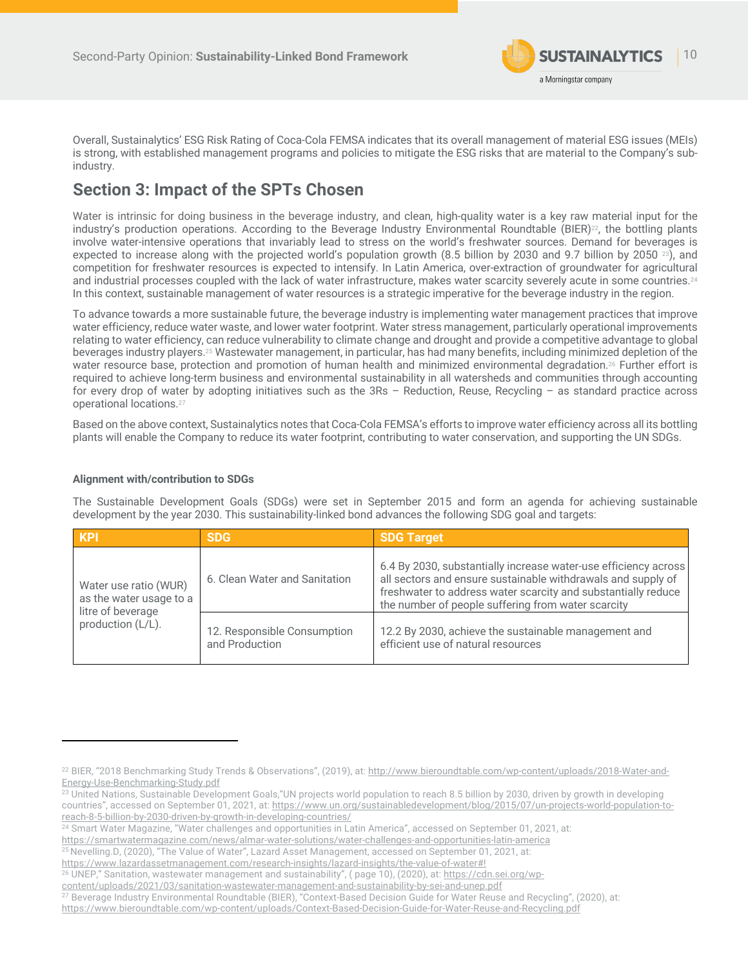

Overall, Sustainalytics' ESG Risk Rating of Coca-Cola FEMSA indicates that its overall management of material ESG issues (MEIs) is strong, with established management programs and policies to mitigate the ESG risks that are material to the Company's subindustry.

# **Section 3: Impact of the SPTs Chosen**

Water is intrinsic for doing business in the beverage industry, and clean, high-quality water is a key raw material input for the industry's production operations. According to the Beverage Industry Environmental Roundtable (BIER)<sup>22</sup>, the bottling plants involve water-intensive operations that invariably lead to stress on the world's freshwater sources. Demand for beverages is expected to increase along with the projected world's population growth  $(8.5 \text{ billion by } 2030 \text{ and } 9.7 \text{ billion by } 2050 \text{ m})$ , and competition for freshwater resources is expected to intensify. In Latin America, over-extraction of groundwater for agricultural and industrial processes coupled with the lack of water infrastructure, makes water scarcity severely acute in some countries. $^{24}$ In this context, sustainable management of water resources is a strategic imperative for the beverage industry in the region.

To advance towards a more sustainable future, the beverage industry is implementing water management practices that improve water efficiency, reduce water waste, and lower water footprint. Water stress management, particularly operational improvements relating to water efficiency, can reduce vulnerability to climate change and drought and provide a competitive advantage to global beverages industry players. <sup>25</sup> Wastewater management, in particular, has had many benefits, including minimized depletion of the water resource base, protection and promotion of human health and minimized environmental degradation. <sup>26</sup> Further effort is required to achieve long-term business and environmental sustainability in all watersheds and communities through accounting for every drop of water by adopting initiatives such as the 3Rs – Reduction, Reuse, Recycling – as standard practice across operational locations.27

Based on the above context, Sustainalytics notes that Coca-Cola FEMSA's efforts to improve water efficiency across all its bottling plants will enable the Company to reduce its water footprint, contributing to water conservation, and supporting the UN SDGs.

### **Alignment with/contribution to SDGs**

The Sustainable Development Goals (SDGs) were set in September 2015 and form an agenda for achieving sustainable development by the year 2030. This sustainability-linked bond advances the following SDG goal and targets:

| <b>KPI</b>                                                                                 | <b>SDG</b>                                    | <b>SDG Target</b>                                                                                                                                                                                                                                      |
|--------------------------------------------------------------------------------------------|-----------------------------------------------|--------------------------------------------------------------------------------------------------------------------------------------------------------------------------------------------------------------------------------------------------------|
| Water use ratio (WUR)<br>as the water usage to a<br>litre of beverage<br>production (L/L). | 6. Clean Water and Sanitation                 | 6.4 By 2030, substantially increase water-use efficiency across<br>all sectors and ensure sustainable withdrawals and supply of<br>freshwater to address water scarcity and substantially reduce<br>the number of people suffering from water scarcity |
|                                                                                            | 12. Responsible Consumption<br>and Production | 12.2 By 2030, achieve the sustainable management and<br>efficient use of natural resources                                                                                                                                                             |

<sup>24</sup> Smart Water Magazine, "Water challenges and opportunities in Latin America", accessed on September 01, 2021, at:

<sup>22</sup> BIER, "2018 Benchmarking Study Trends & Observations", (2019), at: http://www.bieroundtable.com/wp-content/uploads/2018-Water-and-Energy-Use-Benchmarking-Study.pdf

<sup>&</sup>lt;sup>23</sup> United Nations, Sustainable Development Goals, "UN projects world population to reach 8.5 billion by 2030, driven by growth in developing countries", accessed on September 01, 2021, at: https://www.un.org/sustainabledevelopment/blog/2015/07/un-projects-world-population-toreach-8-5-billion-by-2030-driven-by-growth-in-developing-countries/

https://smartwatermagazine.com/news/almar-water-solutions/water-challenges-and-opportunities-latin-america

<sup>25</sup> Nevelling.D, (2020), "The Value of Water", Lazard Asset Management, accessed on September 01, 2021, at:

https://www.lazardassetmanagement.com/research-insights/lazard-insights/the-value-of-water#!

<sup>&</sup>lt;sup>26</sup> UNEP," Sanitation, wastewater management and sustainability", (page 10), (2020), at: https://cdn.sei.org/wp-

content/uploads/2021/03/sanitation-wastewater-management-and-sustainability-by-sei-and-unep.pdf

<sup>27</sup> Beverage Industry Environmental Roundtable (BIER), "Context-Based Decision Guide for Water Reuse and Recycling", (2020), at: https://www.bieroundtable.com/wp-content/uploads/Context-Based-Decision-Guide-for-Water-Reuse-and-Recycling.pdf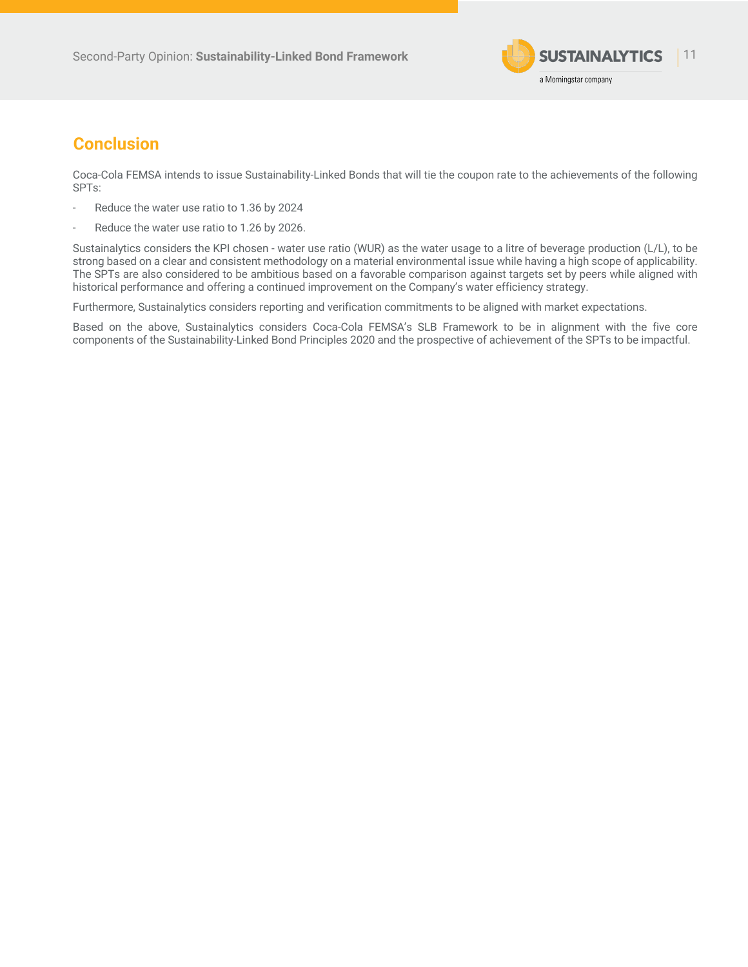

## **Conclusion**

Coca-Cola FEMSA intends to issue Sustainability-Linked Bonds that will tie the coupon rate to the achievements of the following SPTs:

- Reduce the water use ratio to 1.36 by 2024
- Reduce the water use ratio to 1.26 by 2026.

Sustainalytics considers the KPI chosen - water use ratio (WUR) as the water usage to a litre of beverage production (L/L), to be strong based on a clear and consistent methodology on a material environmental issue while having a high scope of applicability. The SPTs are also considered to be ambitious based on a favorable comparison against targets set by peers while aligned with historical performance and offering a continued improvement on the Company's water efficiency strategy.

Furthermore, Sustainalytics considers reporting and verification commitments to be aligned with market expectations.

Based on the above, Sustainalytics considers Coca-Cola FEMSA's SLB Framework to be in alignment with the five core components of the Sustainability-Linked Bond Principles 2020 and the prospective of achievement of the SPTs to be impactful.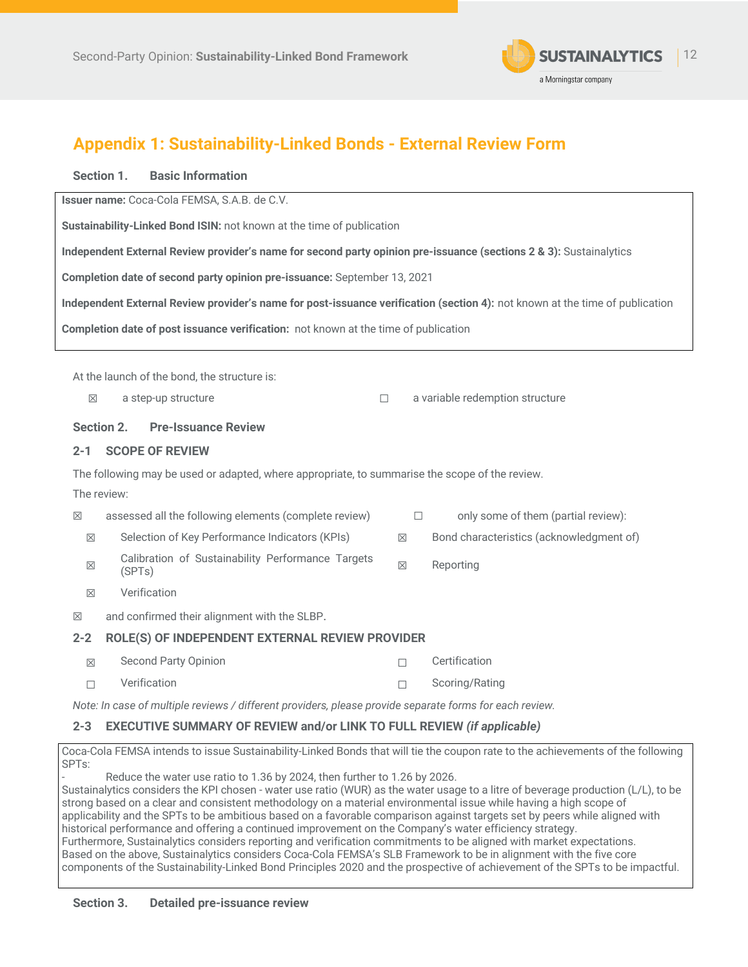

# **Appendix 1: Sustainability-Linked Bonds - External Review Form**

### **Section 1. Basic Information**

**Issuer name:** Coca-Cola FEMSA, S.A.B. de C.V.

**Sustainability-Linked Bond ISIN:** not known at the time of publication

**Independent External Review provider's name for second party opinion pre-issuance (sections 2 & 3):** Sustainalytics

**Completion date of second party opinion pre-issuance:** September 13, 2021

**Independent External Review provider's name for post-issuance verification (section 4):** not known at the time of publication

**Completion date of post issuance verification:** not known at the time of publication

At the launch of the bond, the structure is:

☒ a step-up structure ☐ a variable redemption structure

### **Section 2. Pre-Issuance Review**

### **2-1 SCOPE OF REVIEW**

The following may be used or adapted, where appropriate, to summarise the scope of the review.

The review:

| $\boxtimes$ | assessed all the following elements (complete review)       |             | only some of them (partial review):      |
|-------------|-------------------------------------------------------------|-------------|------------------------------------------|
| $\boxtimes$ | Selection of Key Performance Indicators (KPIs)              | $\boxtimes$ | Bond characteristics (acknowledgment of) |
| $\boxtimes$ | Calibration of Sustainability Performance Targets<br>(SPTs) | X           | Reporting                                |
| $\boxtimes$ | Verification                                                |             |                                          |
| $\boxtimes$ | and confirmed their alignment with the SLBP.                |             |                                          |

### **2-2 ROLE(S) OF INDEPENDENT EXTERNAL REVIEW PROVIDER**

| $\boxtimes$ | Second Party Opinion | Certification  |
|-------------|----------------------|----------------|
| $\Box$      | Verification         | Scoring/Rating |

*Note: In case of multiple reviews / different providers, please provide separate forms for each review.* 

### **2-3 EXECUTIVE SUMMARY OF REVIEW and/or LINK TO FULL REVIEW** *(if applicable)*

Coca-Cola FEMSA intends to issue Sustainability-Linked Bonds that will tie the coupon rate to the achievements of the following SPTs:

Reduce the water use ratio to 1.36 by 2024, then further to 1.26 by 2026.

Sustainalytics considers the KPI chosen - water use ratio (WUR) as the water usage to a litre of beverage production (L/L), to be strong based on a clear and consistent methodology on a material environmental issue while having a high scope of applicability and the SPTs to be ambitious based on a favorable comparison against targets set by peers while aligned with historical performance and offering a continued improvement on the Company's water efficiency strategy. Furthermore, Sustainalytics considers reporting and verification commitments to be aligned with market expectations. Based on the above, Sustainalytics considers Coca-Cola FEMSA's SLB Framework to be in alignment with the five core components of the Sustainability-Linked Bond Principles 2020 and the prospective of achievement of the SPTs to be impactful.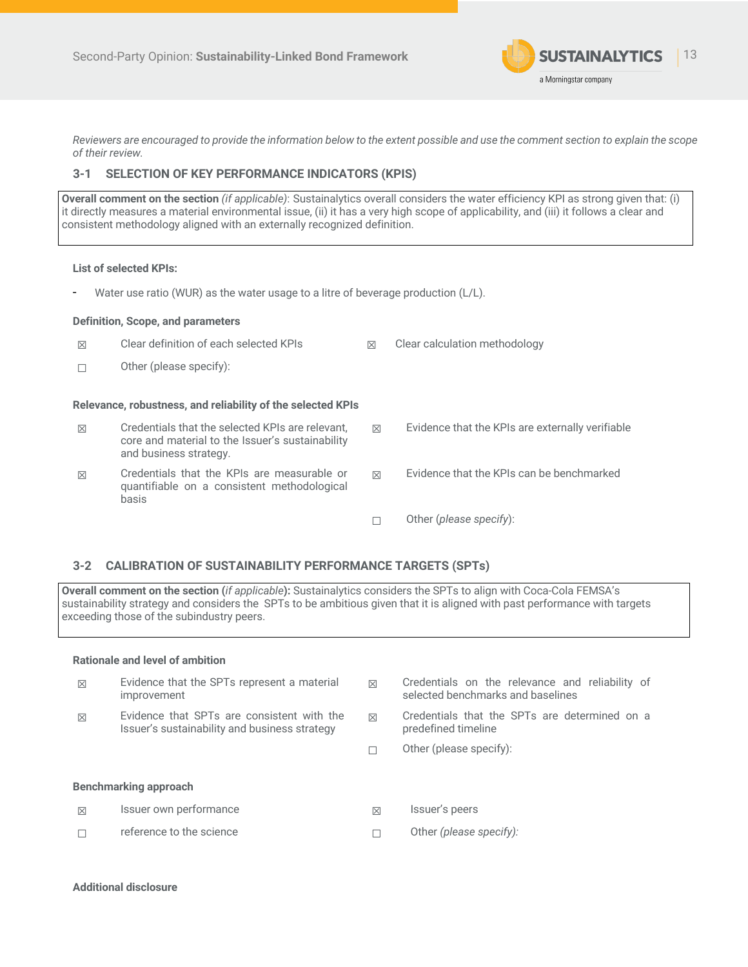

*Reviewers are encouraged to provide the information below to the extent possible and use the comment section to explain the scope of their review.* 

### **3-1 SELECTION OF KEY PERFORMANCE INDICATORS (KPIS)**

**Overall comment on the section** *(if applicable)*: Sustainalytics overall considers the water efficiency KPI as strong given that: (i) it directly measures a material environmental issue, (ii) it has a very high scope of applicability, and (iii) it follows a clear and consistent methodology aligned with an externally recognized definition.

### **List of selected KPIs:**

- Water use ratio (WUR) as the water usage to a litre of beverage production (L/L).

#### **Definition, Scope, and parameters**

| $\boxtimes$ | Clear definition of each selected KPIs                                                                                         | $\boxtimes$ | Clear calculation methodology                    |
|-------------|--------------------------------------------------------------------------------------------------------------------------------|-------------|--------------------------------------------------|
| П           | Other (please specify):                                                                                                        |             |                                                  |
|             | Relevance, robustness, and reliability of the selected KPIs                                                                    |             |                                                  |
| $\boxtimes$ | Credentials that the selected KPIs are relevant.<br>core and material to the Issuer's sustainability<br>and business strategy. | $\boxtimes$ | Evidence that the KPIs are externally verifiable |
| $\boxtimes$ | Credentials that the KPIs are measurable or<br>quantifiable on a consistent methodological<br>basis                            | $\boxtimes$ | Evidence that the KPIs can be benchmarked        |
|             |                                                                                                                                |             | Other (please specify):                          |

### **3-2 CALIBRATION OF SUSTAINABILITY PERFORMANCE TARGETS (SPTs)**

**Overall comment on the section (***if applicable***):** Sustainalytics considers the SPTs to align with Coca-Cola FEMSA's sustainability strategy and considers the SPTs to be ambitious given that it is aligned with past performance with targets exceeding those of the subindustry peers.

#### **Rationale and level of ambition**

| 冈           | Evidence that the SPTs represent a material<br>improvement                                  | $\boxtimes$ | Credentials on the relevance and reliability of<br>selected benchmarks and baselines |
|-------------|---------------------------------------------------------------------------------------------|-------------|--------------------------------------------------------------------------------------|
| $\boxtimes$ | Evidence that SPTs are consistent with the<br>Issuer's sustainability and business strategy | $\boxtimes$ | Credentials that the SPTs are determined on a<br>predefined timeline                 |
|             |                                                                                             |             | Other (please specify):                                                              |
|             | <b>Benchmarking approach</b>                                                                |             |                                                                                      |
| $\boxtimes$ | Issuer own performance                                                                      | $\boxtimes$ | Issuer's peers                                                                       |
|             | reference to the science                                                                    |             | Other (please specify):                                                              |
|             |                                                                                             |             |                                                                                      |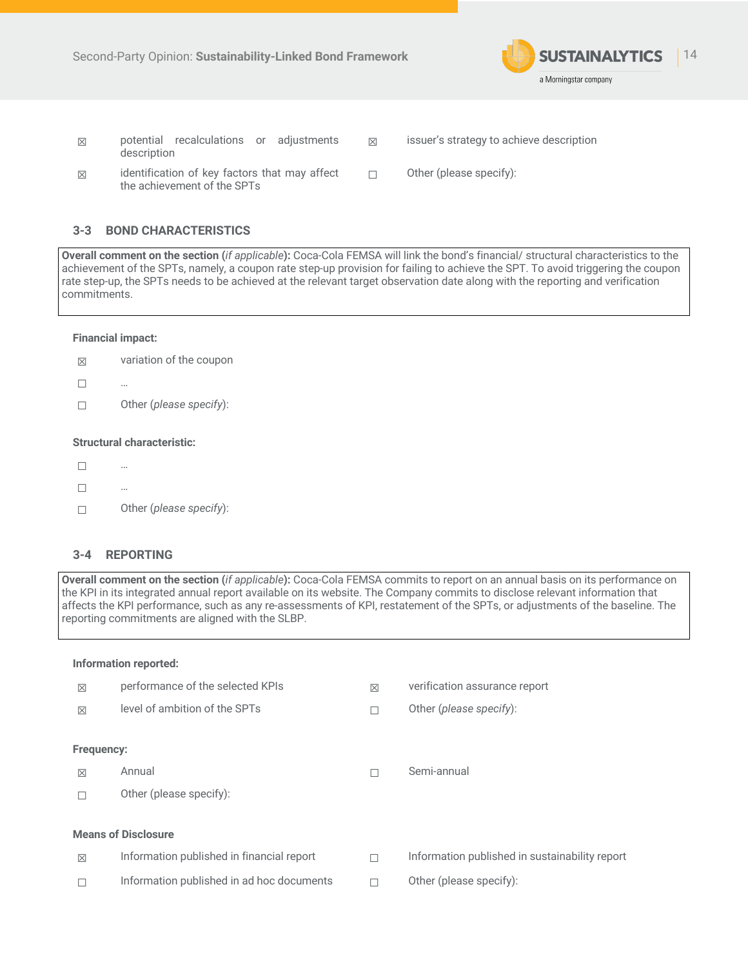

- potential recalculations or adjustments description
- ☒ issuer's strategy to achieve description
- $\boxtimes$  identification of key factors that may affect the achievement of the SPTs
- ☐ Other (please specify):

### **3-3 BOND CHARACTERISTICS**

**Overall comment on the section (***if applicable***):** Coca-Cola FEMSA will link the bond's financial/ structural characteristics to the achievement of the SPTs, namely, a coupon rate step-up provision for failing to achieve the SPT. To avoid triggering the coupon rate step-up, the SPTs needs to be achieved at the relevant target observation date along with the reporting and verification commitments.

#### **Financial impact:**

- $\boxtimes$  variation of the coupon
- ☐ …
- ☐ Other (*please specify*):

### **Structural characteristic:**

- $\Box$  …
- ☐ …
- ☐ Other (*please specify*):

#### **3-4 REPORTING**

**Overall comment on the section (***if applicable***):** Coca-Cola FEMSA commits to report on an annual basis on its performance on the KPI in its integrated annual report available on its website. The Company commits to disclose relevant information that affects the KPI performance, such as any re-assessments of KPI, restatement of the SPTs, or adjustments of the baseline. The reporting commitments are aligned with the SLBP.

#### **Information reported:**

| $\boxtimes$                | performance of the selected KPIs          | $\boxtimes$ | verification assurance report                  |  |  |
|----------------------------|-------------------------------------------|-------------|------------------------------------------------|--|--|
| $\boxtimes$                | level of ambition of the SPTs             |             | Other (please specify):                        |  |  |
|                            |                                           |             |                                                |  |  |
| Frequency:                 |                                           |             |                                                |  |  |
| $\boxtimes$                | Annual                                    |             | Semi-annual                                    |  |  |
|                            | Other (please specify):                   |             |                                                |  |  |
|                            |                                           |             |                                                |  |  |
| <b>Means of Disclosure</b> |                                           |             |                                                |  |  |
| $\boxtimes$                | Information published in financial report |             | Information published in sustainability report |  |  |
|                            | Information published in ad hoc documents |             | Other (please specify):                        |  |  |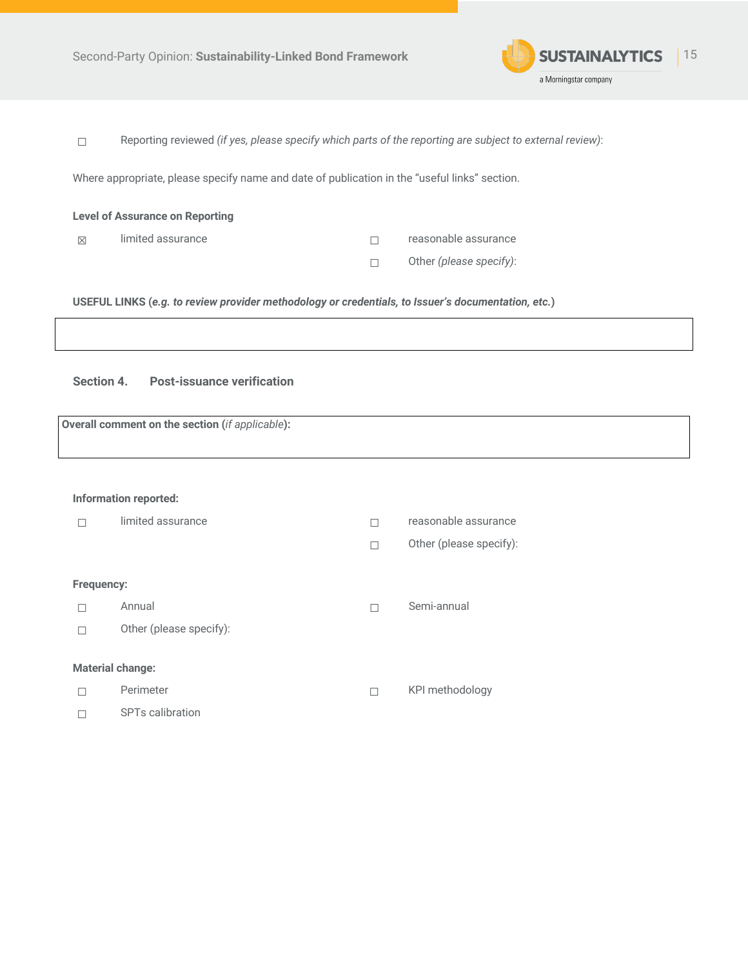

☐ Reporting reviewed *(if yes, please specify which parts of the reporting are subject to external review)*:

Where appropriate, please specify name and date of publication in the "useful links" section.

| <b>Level of Assurance on Reporting</b> |                   |  |                         |  |  |
|----------------------------------------|-------------------|--|-------------------------|--|--|
| $\boxtimes$                            | limited assurance |  | reasonable assurance    |  |  |
|                                        |                   |  | Other (please specify): |  |  |

**USEFUL LINKS (***e.g. to review provider methodology or credentials, to Issuer's documentation, etc.***)**

**Section 4. Post-issuance verification**

**Overall comment on the section (***if applicable***):** 

#### **Information reported:**

|                   | limited assurance            | reasonable assurance    |
|-------------------|------------------------------|-------------------------|
|                   |                              | Other (please specify): |
| <b>Frequency:</b> |                              |                         |
|                   | Annual                       | Semi-annual             |
|                   | Other (please specify):      |                         |
|                   | <b>Material change:</b>      |                         |
|                   | Perimeter                    | KPI methodology         |
|                   | SPT <sub>s</sub> calibration |                         |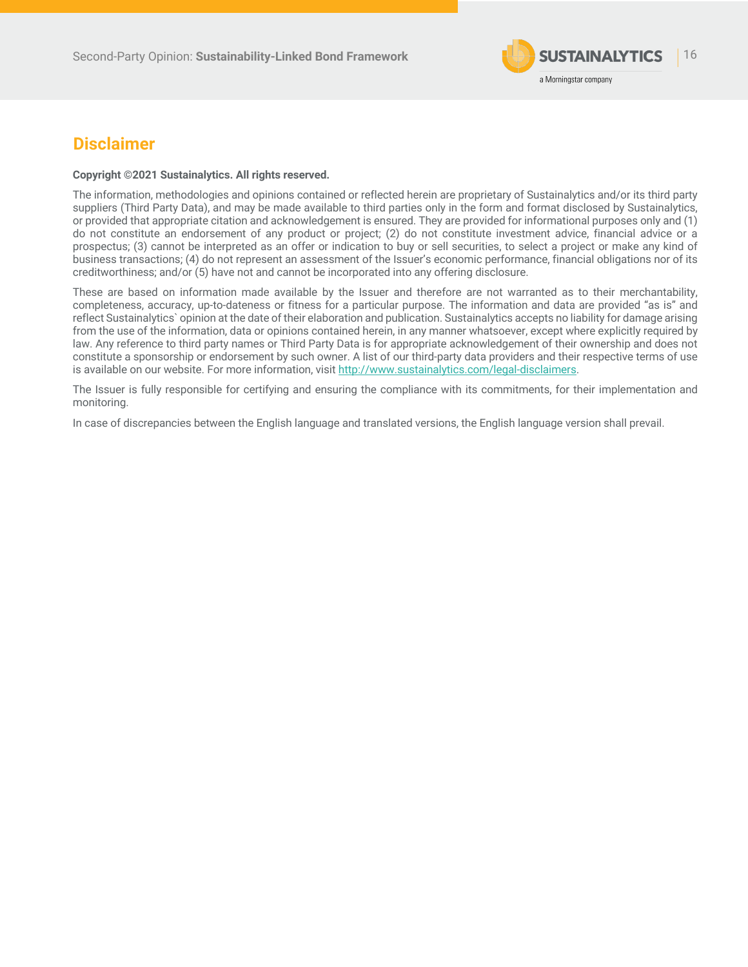

# **Disclaimer**

#### **Copyright ©2021 Sustainalytics. All rights reserved.**

The information, methodologies and opinions contained or reflected herein are proprietary of Sustainalytics and/or its third party suppliers (Third Party Data), and may be made available to third parties only in the form and format disclosed by Sustainalytics, or provided that appropriate citation and acknowledgement is ensured. They are provided for informational purposes only and (1) do not constitute an endorsement of any product or project; (2) do not constitute investment advice, financial advice or a prospectus; (3) cannot be interpreted as an offer or indication to buy or sell securities, to select a project or make any kind of business transactions; (4) do not represent an assessment of the Issuer's economic performance, financial obligations nor of its creditworthiness; and/or (5) have not and cannot be incorporated into any offering disclosure.

These are based on information made available by the Issuer and therefore are not warranted as to their merchantability, completeness, accuracy, up-to-dateness or fitness for a particular purpose. The information and data are provided "as is" and reflect Sustainalytics` opinion at the date of their elaboration and publication. Sustainalytics accepts no liability for damage arising from the use of the information, data or opinions contained herein, in any manner whatsoever, except where explicitly required by law. Any reference to third party names or Third Party Data is for appropriate acknowledgement of their ownership and does not constitute a sponsorship or endorsement by such owner. A list of our third-party data providers and their respective terms of use is available on our website. For more information, visit http://www.sustainalytics.com/legal-disclaimers.

The Issuer is fully responsible for certifying and ensuring the compliance with its commitments, for their implementation and monitoring.

In case of discrepancies between the English language and translated versions, the English language version shall prevail.